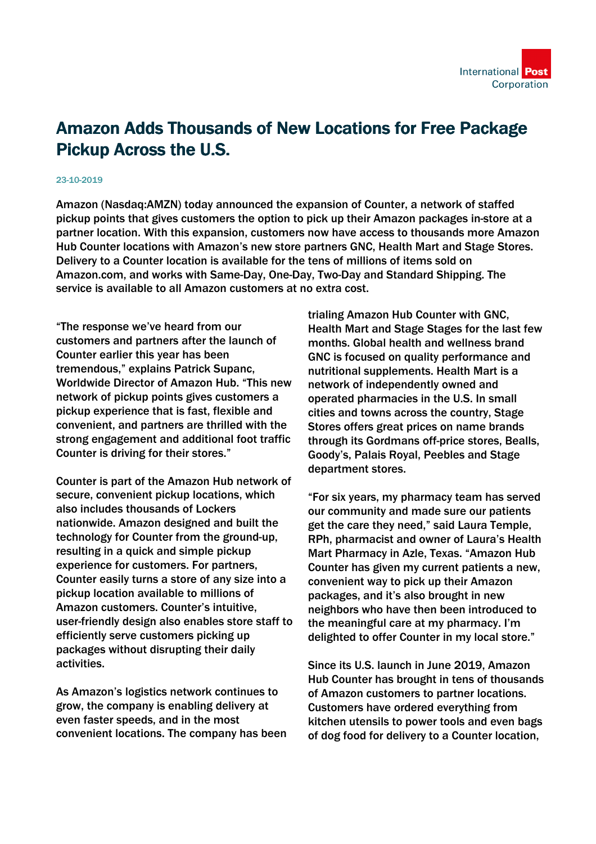

## Amazon Adds Thousands of New Locations for Free Package Pickup Across the U.S.

## 23-10-2019

Amazon (Nasdaq:AMZN) today announced the expansion of Counter, a network of staffed pickup points that gives customers the option to pick up their Amazon packages in-store at a partner location. With this expansion, customers now have access to thousands more Amazon Hub Counter locations with Amazon's new store partners GNC, Health Mart and Stage Stores. Delivery to a Counter location is available for the tens of millions of items sold on Amazon.com, and works with Same-Day, One-Day, Two-Day and Standard Shipping. The service is available to all Amazon customers at no extra cost.

"The response we've heard from our customers and partners after the launch of Counter earlier this year has been tremendous," explains Patrick Supanc, Worldwide Director of Amazon Hub. "This new network of pickup points gives customers a pickup experience that is fast, flexible and convenient, and partners are thrilled with the strong engagement and additional foot traffic Counter is driving for their stores."

Counter is part of the Amazon Hub network of secure, convenient pickup locations, which also includes thousands of Lockers nationwide. Amazon designed and built the technology for Counter from the ground-up, resulting in a quick and simple pickup experience for customers. For partners, Counter easily turns a store of any size into a pickup location available to millions of Amazon customers. Counter's intuitive, user-friendly design also enables store staff to efficiently serve customers picking up packages without disrupting their daily activities.

As Amazon's logistics network continues to grow, the company is enabling delivery at even faster speeds, and in the most convenient locations. The company has been trialing Amazon Hub Counter with GNC, Health Mart and Stage Stages for the last few months. Global health and wellness brand GNC is focused on quality performance and nutritional supplements. Health Mart is a network of independently owned and operated pharmacies in the U.S. In small cities and towns across the country, Stage Stores offers great prices on name brands through its Gordmans off-price stores, Bealls, Goody's, Palais Royal, Peebles and Stage department stores.

"For six years, my pharmacy team has served our community and made sure our patients get the care they need," said Laura Temple, RPh, pharmacist and owner of Laura's Health Mart Pharmacy in Azle, Texas. "Amazon Hub Counter has given my current patients a new, convenient way to pick up their Amazon packages, and it's also brought in new neighbors who have then been introduced to the meaningful care at my pharmacy. I'm delighted to offer Counter in my local store."

Since its U.S. launch in June 2019, Amazon Hub Counter has brought in tens of thousands of Amazon customers to partner locations. Customers have ordered everything from kitchen utensils to power tools and even bags of dog food for delivery to a Counter location,